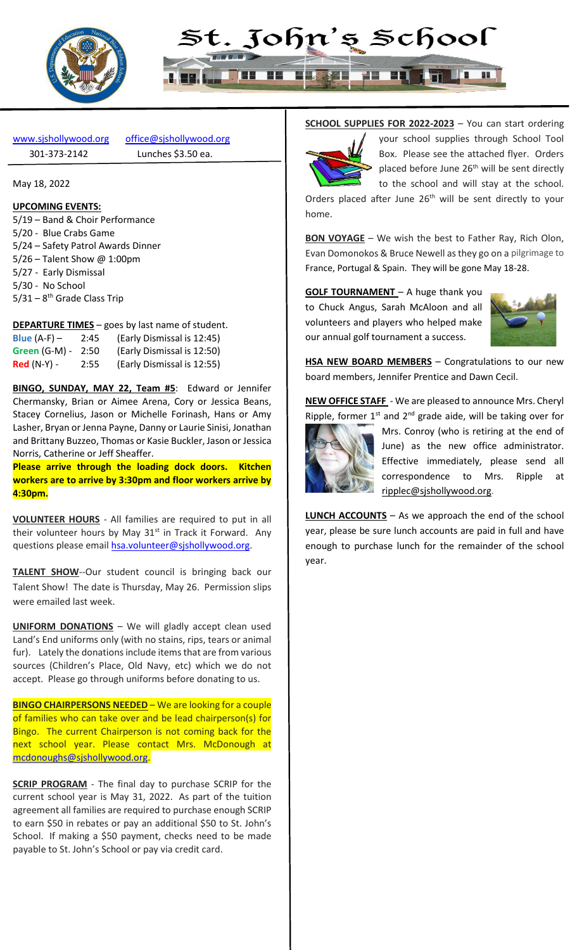



[www.sjshollywood.org](http://www.sjshollywood.org/) [office@sjshollywood.org](mailto:office@sjshollywood.org) 301-373-2142 Lunches \$3.50 ea.

May 18, 2022

#### **UPCOMING EVENTS:**

5/19 – Band & Choir Performance 5/20 - Blue Crabs Game 5/24 – Safety Patrol Awards Dinner 5/26 – Talent Show @ 1:00pm 5/27 - Early Dismissal 5/30 - No School 5/31 – 8<sup>th</sup> Grade Class Trip

**DEPARTURE TIMES** – goes by last name of student.

| Blue $(A-F)$ –  | 2:45 | (Early Dismissal is 12:45) |
|-----------------|------|----------------------------|
| Green $(G-M)$ - | 2:50 | (Early Dismissal is 12:50) |
| $Red(N-Y)$ -    | 2:55 | (Early Dismissal is 12:55) |

**BINGO, SUNDAY, MAY 22, Team #5**: Edward or Jennifer Chermansky, Brian or Aimee Arena, Cory or Jessica Beans, Stacey Cornelius, Jason or Michelle Forinash, Hans or Amy Lasher, Bryan or Jenna Payne, Danny or Laurie Sinisi, Jonathan and Brittany Buzzeo, Thomas or Kasie Buckler, Jason or Jessica Norris, Catherine or Jeff Sheaffer.

**Please arrive through the loading dock doors. Kitchen workers are to arrive by 3:30pm and floor workers arrive by 4:30pm.**

**VOLUNTEER HOURS** - All families are required to put in all their volunteer hours by May  $31^{st}$  in Track it Forward. Any questions please email [hsa.volunteer@sjshollywood.org.](mailto:hsa.volunteer@sjshollywood.org)

**TALENT SHOW--Our student council is bringing back our** Talent Show! The date is Thursday, May 26. Permission slips were emailed last week.

**UNIFORM DONATIONS** – We will gladly accept clean used Land's End uniforms only (with no stains, rips, tears or animal fur). Lately the donations include items that are from various sources (Children's Place, Old Navy, etc) which we do not accept. Please go through uniforms before donating to us.

**BINGO CHAIRPERSONS NEEDED** – We are looking for a couple of families who can take over and be lead chairperson(s) for Bingo. The current Chairperson is not coming back for the next school year. Please contact Mrs. McDonough at [mcdonoughs@sjshollywood.org.](mailto:mcdonoughs@sjshollywood.org)

**SCRIP PROGRAM** - The final day to purchase SCRIP for the current school year is May 31, 2022. As part of the tuition agreement all families are required to purchase enough SCRIP to earn \$50 in rebates or pay an additional \$50 to St. John's School. If making a \$50 payment, checks need to be made payable to St. John's School or pay via credit card.

#### **SCHOOL SUPPLIES FOR 2022-2023** – You can start ordering



your school supplies through School Tool Box. Please see the attached flyer. Orders placed before June 26<sup>th</sup> will be sent directly to the school and will stay at the school.

Orders placed after June 26<sup>th</sup> will be sent directly to your home.

**BON VOYAGE** – We wish the best to Father Ray, Rich Olon, Evan Domonokos & Bruce Newell as they go on a pilgrimage to France, Portugal & Spain. They will be gone May 18-28.

**GOLF TOURNAMENT** – A huge thank you to Chuck Angus, Sarah McAloon and all volunteers and players who helped make our annual golf tournament a success.



**HSA NEW BOARD MEMBERS** – Congratulations to our new board members, Jennifer Prentice and Dawn Cecil.

**NEW OFFICE STAFF** - We are pleased to announce Mrs. Cheryl Ripple, former  $1^{st}$  and  $2^{nd}$  grade aide, will be taking over for



Mrs. Conroy (who is retiring at the end of June) as the new office administrator. Effective immediately, please send all correspondence to Mrs. Ripple at [ripplec@sjshollywood.org.](mailto:ripplec@sjshollywood.org)

**LUNCH ACCOUNTS** – As we approach the end of the school year, please be sure lunch accounts are paid in full and have enough to purchase lunch for the remainder of the school year.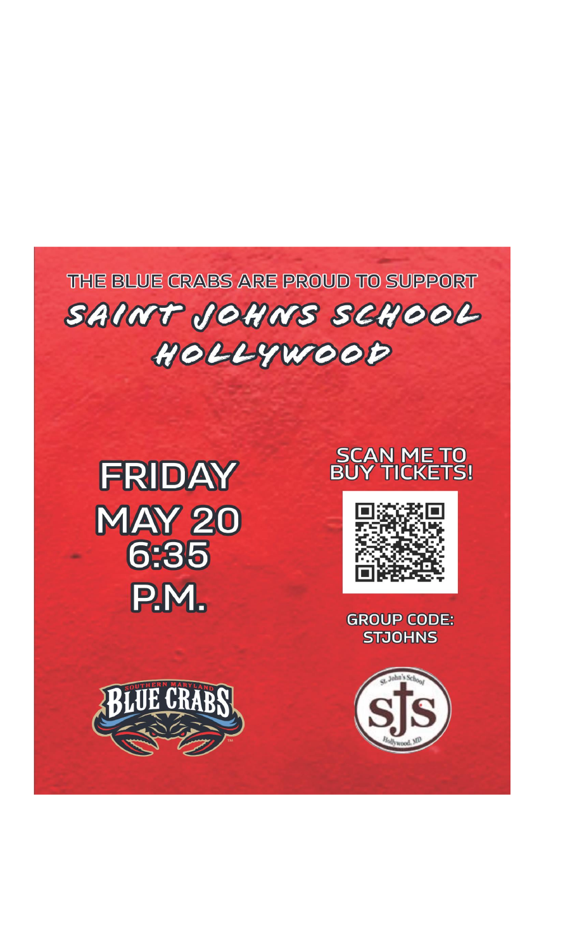THE BLUE CRABS ARE PROUD TO SUPPORT SAINT JOHNS SCHOOL HOLLYWOOD









**GROUP CODE: STJOHNS** 

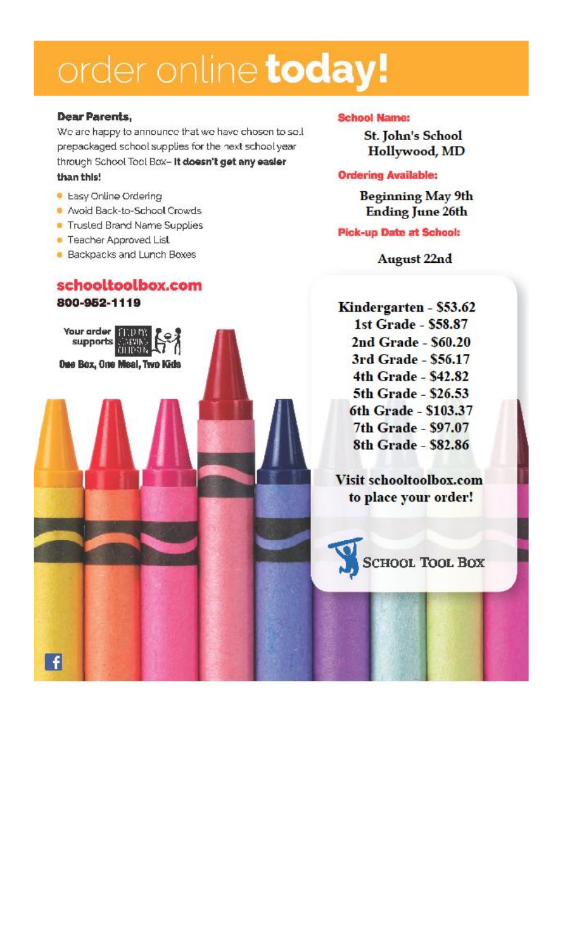## order online today!

#### **Dear Parents,**

We are happy to announce that we have chosen to sell prepackaged school supplies for the next school year. through School Tool Box- It doesn't get any easier than this!

- · Easy Online Ordering
- Avoid Back-to-School Crowds
- Trusted Brand Name Supplies
- Teacher Approved List

Your arder

H

supports **SHAR** 

Dee Box, One Meal, Two Kids

**Backpacks and Lunch Boxes** 

#### schooltoolbox.com 800-952-1119

#### **School Name:**

**St. John's School** Hollywood, MD

#### **Ordering Available:**

**Beginning May 9th Ending June 26th** 

#### **Pick-up Date at School:**

**August 22nd** 

Kindergarten - \$53.62 1st Grade - \$58.87 2nd Grade - \$60.20 3rd Grade - \$56.17 4th Grade - \$42.82 5th Grade - \$26.53 6th Grade - \$103.37 7th Grade - \$97.07 8th Grade - \$82.86

Visit schooltoolbox.com to place your order!

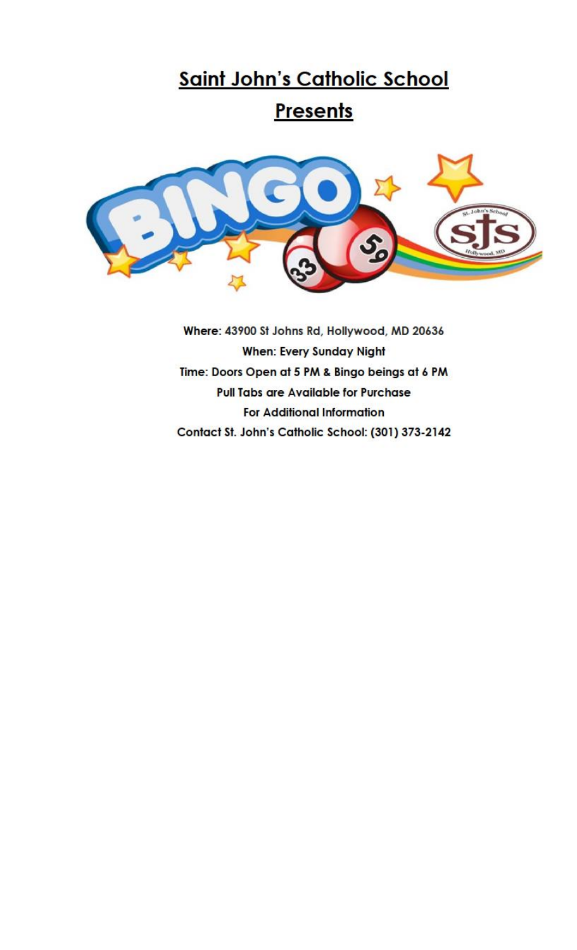### Saint John's Catholic School

### Presents



Where: 43900 St Johns Rd, Hollywood, MD 20636 **When: Every Sunday Night** Time: Doors Open at 5 PM & Bingo beings at 6 PM **Pull Tabs are Available for Purchase For Additional Information** Contact St. John's Catholic School: (301) 373-2142